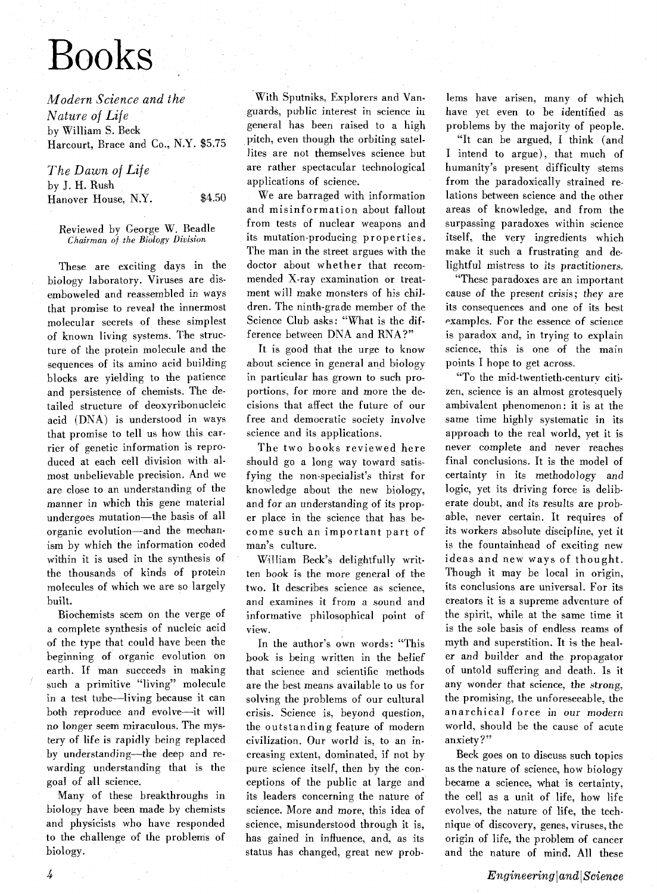# Books

*Modern Science and the Nature of Life*  by William S. Beck Harcourt, Brace and Co., N.Y. \$5.75

| The Dawn of Life    |        |
|---------------------|--------|
| by J. H. Rush       |        |
| Hanover House, N.Y. | \$4.50 |

Reviewed by George W. Beadle *Chaiiman* of *the Biology Division* 

These are exciting days in the biology laboratory. Viruses are disemboweled and reassembled in ways that promise to reveal the innermost molecular secrets of these simplest of known living systems. The structure of the protein molecule and the sequences of its amino acid building blocks are yielding to the patience and persistence of chemists. The detailed structure of deoxyribonucleic acid (DNA) is understood in ways that promise to tell us how this carrier of genetic information is reproduced at each cell division with almost unbelievable precision. And we are close to an understanding of the manner in which this gene material undergoes mutation-the basis of all organic evolution-and the meohanism by which the information coded within it is used in the synthesis of the thousands of kinds of protein molecules of which we are so largely built.

Biochemists seem on the verge of a complete synthesis of nucleic acid of the type that could have been the beginning of organic evolution on earth. If man succeeds in making such a primitive "living" molecule in a test tube—living because it can both reproduce and evolve-it will no longer seem miraculous. The mystery of life is rapidly being replaced by understanding-the deep and rewarding understanding that is the goal of all science.

Many of these breakthroughs in biology have been made by chemists and physicists who have responded to the challenge of the problems of biology.

With Sputniks, Explorers and Vanguards, public interest in science in general has been raised to a high pitch, even though the orbiting satellites are not themselves science but are rather spectacular technological applications of science.

We are barraged with information and misinformation about fallout from tests of nuclear weapons and its mutation-producing properties. The man in the street argues with the doctor about whether that recommended X-ray examination or treatment will make monsters of his children. The ninth-grade member of the Science Club asks: "What is the difference between DNA and **RNA?"** 

It is good that the urge to know about science in general and biology in particular has grown to such proportions, for more and more the decisions that affect the future of our free and democratic society involve science and its applications.

The two books reviewed here should go a long way toward satisfying the non-specialist's thirst for knowledge about the new biology, and for an understanding of its proper place in the science that has become such an important part of man's culture.

William Beck's delightfully written book is the more general of the two. It describes science as science, and examines it from a sound and informative philosophical point of view.

In the author's own words: "This book is being written in the belief that science and scientific methods are the best means available to us for solving the problems of our cultural crisis. Science is, beyond question, the outstanding feature of modern civilization. Our world is, to an increasing extent, dominated, if not by pure science itself, then by the conceptions of the public at large and its leaders concerning the nature of science. More and more, this idea of science, misunderstood through it is, has gained in influence, and, as its status has changed, great new problems have arisen, many of which have yet even to be identified as problems by the majority of people.

"It can be argued, I think (and I intend to argue), that much of humanity's present difficulty stems from the paradoxically strained relations between science and the other areas of knowledge, and from the surpassing paradoxes within science itself, the very ingredients which make it such a frustrating and delightful mistress to its practitioners.

'These paradoxes are an important cause of the present crisis; they are its consequences and one of its best examples. For the essence of science is paradox and, in trying to explain science, this is one of the main points I hope to get across.

"To the mid-twentieth-centurv citizen, science is an almost grotesquely ambivalent phenomenon: it is at the same time highly systematic in its approach to the real world, yet it is never complete and never reaches final conclusions. It is the model of certainty in its methodology and logic, yet its driving force is deliberate doubt, and its results are probable, never certain. It requires of its workers absolute discipline, yet it is the fountainhead of exciting new ideas and new ways of thought. Though it may be local in origin, its conclusions are universal. For its creators it is a supreme adventure of the spirit, while at the same time it is the sole basis of endless reams of myth and superstition. It is the healer and builder and the propagator of untold suffering and death. Is it any wonder that science, the strong, the promising, the unforeseeable, the anarchical force in our modern world, should be the cause of acute anxiety ?"

Beck goes on to discuss such topics as the nature of science, how biology became a science, what is certainty, the cell as a unit of life, how life evolves, the nature of life, the technique of discovery, genes, viruses, the origin of life, the problem of cancer and the nature of mind. All these

Ŀ